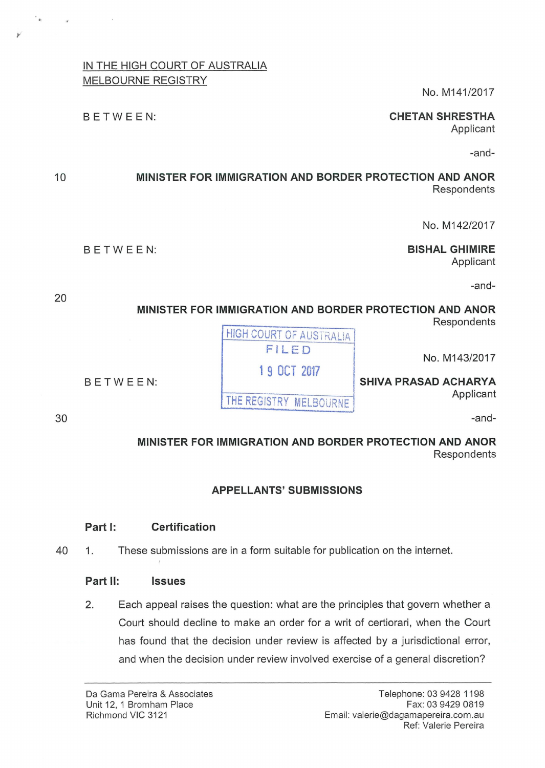## IN THE HIGH COURT OF AUSTRALIA MELBOURNE REGISTRY

No. M141/2017

## BETWEEN: **CHETAN SHRESTHA**

Applicant

-and-

#### 10 **MINISTER FOR IMMIGRATION AND BORDER PROTECTION AND ANOR Respondents**

No. M142/2017

BETWEEN: **BISHAL GHIMIRE**  Applicant

-and-

## **MINISTER FOR IMMIGRATION AND BORDER PROTECTION AND ANOR Respondents**

No. M143/2017

# **MINISTER FOR IMMIGRATION AND BORDER PROTECTION AND ANOR Respondents**

# **APPELLANTS' SUBMISSIONS**

#### **Part 1: Certification**

40 1. These submissions are in a form suitable for publication on the internet.

## **Part 11: Issues**

2. Each appeal raises the question: what are the principles that govern whether a Court should decline to make an order for a writ of certiorari, when the Court has found that the decision under review is affected by a jurisdictional error, and when the decision under review involved exercise of a general discretion?

**HIGH COURT OF AUSTRALIA** FILED **1 9 OCT 2017**  BETWEEN: **SHIVA PRASAD ACHARYA**  THE REGISTRY MELBOURNE **Applicant** 

30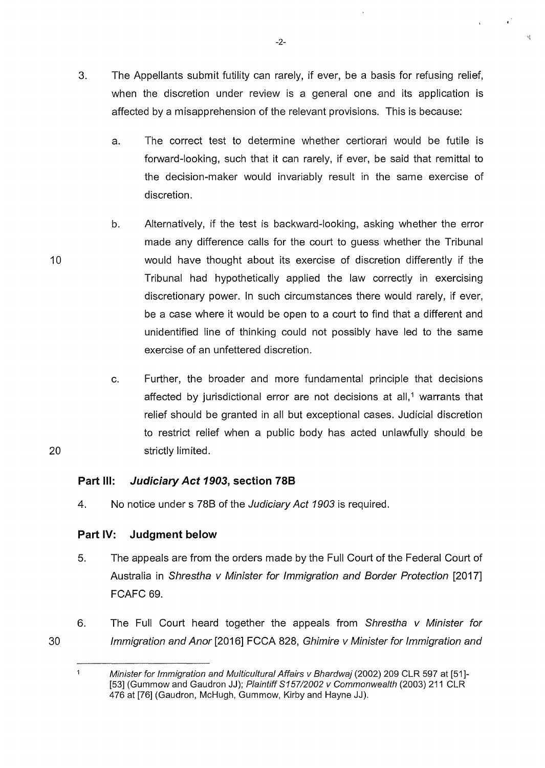- 3. The Appellants submit futility can rarely, if ever, be a basis for refusing relief, when the discretion under review is a general one and its application is affected by a misapprehension of the relevant provisions. This is because:
	- a. The correct test to determine whether certiorari would be futile is forward-looking, such that it can rarely, if ever, be said that remittal to the decision-maker would invariably result in the same exercise of discretion.
	- b. Alternatively, if the test is backward-looking, asking whether the error made any difference calls for the court to guess whether the Tribunal would have thought about its exercise of discretion differently if the Tribunal had hypothetically applied the law correctly in exercising discretionary power. In such circumstances there would rarely, if ever, be a case where it would be open to a court to find that a different and unidentified line of thinking could not possibly have led to the same exercise of an unfettered discretion.
- c. Further, the broader and more fundamental principle that decisions affected by jurisdictional error are not decisions at all,<sup>1</sup> warrants that relief should be granted in all but exceptional cases. Judicial discretion to restrict relief when a public body has acted unlawfully should be 20 strictly limited.

### **Part Ill: Judiciary Act 1903, section 788**

4. No notice under s 788 of the Judiciary Act 1903 is required.

### **Part IV: Judgment below**

- 5. The appeals are from the orders made by the Full Court of the Federal Court of Australia in Shrestha v Minister for Immigration and Border Protection [2017] FCAFC 69.
- 6. The Full Court heard together the appeals from Shrestha v Minister for Immigration and Anor [2016] FCCA 828, Ghimire v Minister for Immigration and

-2-

10

 $\blacktriangleleft$ Minister for Immigration and Multicultural Affairs v Bhardwaj (2002) 209 CLR 597 at [51]- [53] (Gummow and Gaudron JJ); Plaintiff S157/2002 v Commonwealth (2003) 211 CLR 476 at [76] (Gaudron, McHugh, Gummow, Kirby and Hayne JJ).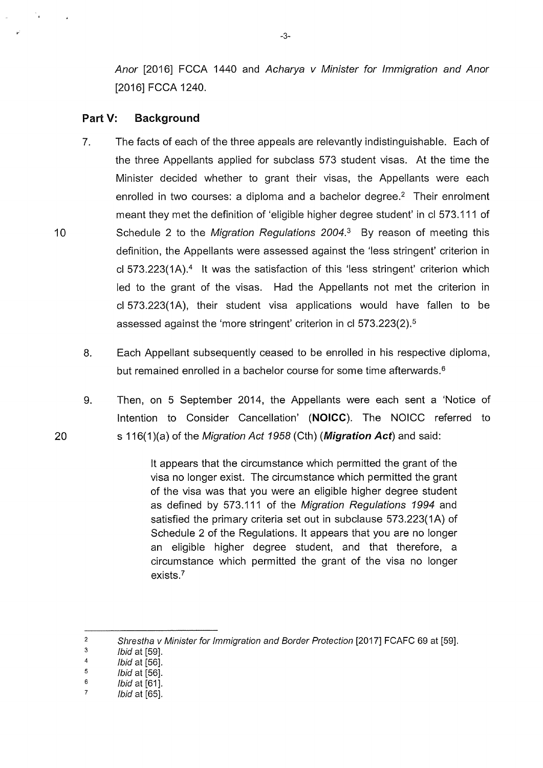Anor [2016] FCCA 1440 and Acharya v Minister for Immigration and Anor [2016] FCCA 1240.

#### **Part V: Background**

- 7. The facts of each of the three appeals are relevantly indistinguishable. Each of the three Appellants applied for subclass 573 student visas. At the time the Minister decided whether to grant their visas, the Appellants were each enrolled in two courses: a diploma and a bachelor degree.<sup>2</sup> Their enrolment meant they met the definition of 'eligible higher degree student' in cl 573.111 of 10 Schedule 2 to the Migration Regulations 2004.<sup>3</sup> By reason of meeting this definition, the Appellants were assessed against the 'less stringent' criterion in cl 573.223(1A).<sup>4</sup> It was the satisfaction of this 'less stringent' criterion which led to the grant of the visas. Had the Appellants not met the criterion in cl 573.223(1A), their student visa applications would have fallen to be assessed against the 'more stringent' criterion in cl 573.223(2). <sup>5</sup>
	- 8. Each Appellant subsequently ceased to be enrolled in his respective diploma, but remained enrolled in a bachelor course for some time afterwards.<sup>6</sup>
	- 9. Then, on 5 September 2014, the Appellants were each sent a 'Notice of Intention to Consider Cancellation' **(NOICC).** The NOICC referred to s 116( 1 )(a) of the Migration Act 1958 ( Cth) **(Migration Act)** and said:

lt appears that the circumstance which permitted the grant of the visa no longer exist. The circumstance which permitted the grant of the visa was that you were an eligible higher degree student as defined by 573.111 of the Migration Regulations 1994 and satisfied the primary criteria set out in subclause 573.223(1A) of Schedule 2 of the Regulations. lt appears that you are no longer an eligible higher degree student, and that therefore, a circumstance which permitted the grant of the visa no longer exists.?

20

 $\mathcal{F}_{\mathbf{a}^{\prime}}$ 

<sup>2</sup>  3 Shrestha v Minister for Immigration and Border Protection [2017] FCAFC 69 at [59].

<sup>4</sup>  Ibid at [59].

<sup>5</sup>  /bid at [56].

<sup>6</sup>  /bid at [56].

<sup>7</sup>   $Ibid$  at  $[61]$ . /bid at [65].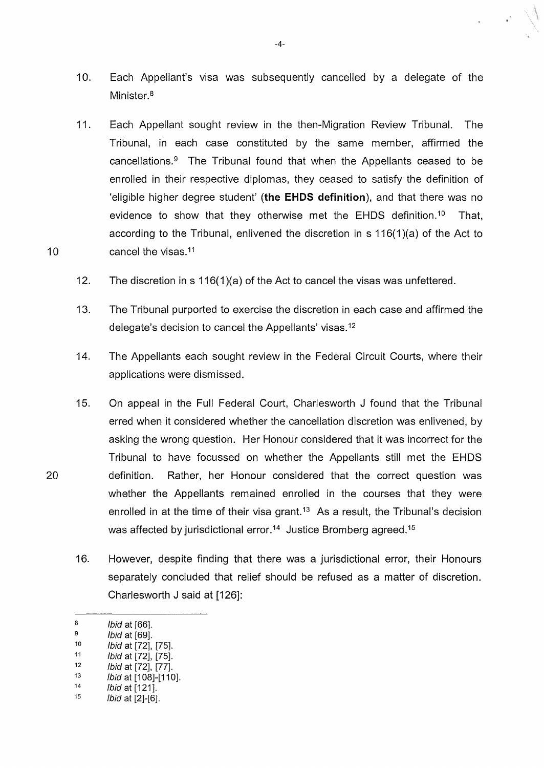- 10. Each Appellant's visa was subsequently cancelled by a delegate of the Minister.<sup>8</sup>
- 11. Each Appellant sought review in the then-Migration Review Tribunal. The Tribunal, in each case constituted by the same member, affirmed the cancellations. $9$  The Tribunal found that when the Appellants ceased to be enrolled in their respective diplomas, they ceased to satisfy the definition of 'eligible higher degree student' **(the EHDS definition),** and that there was no evidence to show that they otherwise met the EHDS definition.10 That, according to the Tribunal, enlivened the discretion in s 116(1 )(a) of the Act to cancel the visas.11
- 12. The discretion in s 116(1)(a) of the Act to cancel the visas was unfettered.
- 13. The Tribunal purported to exercise the discretion in each case and affirmed the delegate's decision to cancel the Appellants' visas. <sup>12</sup>
- 14. The Appellants each sought review in the Federal Circuit Courts, where their applications were dismissed.
- 15. On appeal in the Full Federal Court, Charlesworth J found that the Tribunal erred when it considered whether the cancellation discretion was enlivened, by asking the wrong question. Her Honour considered that it was incorrect for the Tribunal to have focussed on whether the Appellants still met the EHDS definition. Rather, her Honour considered that the correct question was whether the Appellants remained enrolled in the courses that they were enrolled in at the time of their visa grant.<sup>13</sup> As a result, the Tribunal's decision was affected by jurisdictional error.<sup>14</sup> Justice Bromberg agreed.<sup>15</sup>
- 16. However, despite finding that there was a jurisdictional error, their Honours separately concluded that relief should be refused as a matter of discretion. Charlesworth J said at [126]:

10

20

- $13$  *lbid* at [108]-[110].
- $14$  lbid at [121].<br> $15$  lbid at [2]-[6]

-4-

 $\frac{8}{9}$  lbid at [66].

Ibid at [69].

 $10$   $1 \text{bid at } [72]$ ,  $[75]$ .

 $11$  *lbid* at [72], [75].

 $12$  *lbid* at [72], [77].

 $1$ *bid* at  $[2]$ - $[6]$ .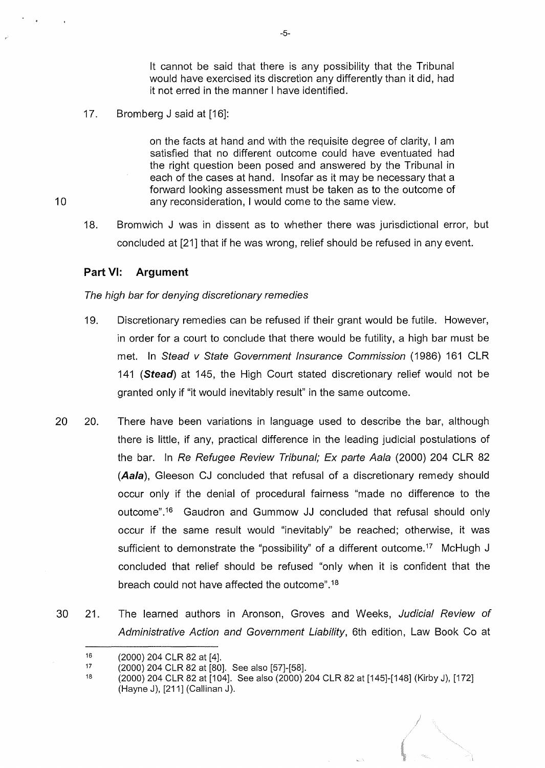lt cannot be said that there is any possibility that the Tribunal would have exercised its discretion any differently than it did, had it not erred in the manner I have identified.

17. Bromberg J said at [16]:

> on the facts at hand and with the requisite degree of clarity, I am satisfied that no different outcome could have eventuated had the right question been posed and answered by the Tribunal in each of the cases at hand. Insofar as it may be necessary that a forward looking assessment must be taken as to the outcome of any reconsideration, I would come to the same view.

18. Bromwich J was in dissent as to whether there was jurisdictional error, but concluded at [21] that if he was wrong, relief should be refused in any event.

#### **Part VI: Argument**

#### The high bar for denying discretionary remedies

- 19. Discretionary remedies can be refused if their grant would be futile. However, in order for a court to conclude that there would be futility, a high bar must be met. In Stead v State Government Insurance Commission (1986) 161 CLR 141 **(Stead)** at 145, the High Court stated discretionary relief would not be granted only if "it would inevitably result" in the same outcome.
- 20 20. There have been variations in language used to describe the bar, although there is little, if any, practical difference in the leading judicial postulations of the bar. In Re Refugee Review Tribunal; Ex parte Aala (2000) 204 CLR 82 **(Aala), Gleeson CJ concluded that refusal of a discretionary remedy should** occur only if the denial of procedural fairness "made no difference to the outcome".<sup>16</sup> Gaudron and Gummow JJ concluded that refusal should only occur if the same result would "inevitably" be reached; otherwise, it was sufficient to demonstrate the "possibility" of a different outcome.<sup>17</sup> McHugh J concluded that relief should be refused "only when it is confident that the breach could not have affected the outcome". <sup>18</sup>
- 30 21. The learned authors in Aronson, Groves and Weeks, Judicial Review of Administrative Action and Government Liability, 6th edition, Law Book Co at

<sup>16</sup>  (2000) 204 CLR 82 at [4].

<sup>17</sup>  (2000) 204 CLR 82 at [80]. See also [57]-[58].

<sup>18</sup>  (2000) 204 CLR 82 at [104]. See also (2000) 204 CLR 82 at [145]-[148] (Kirby J), [172] (Hayne J), [211] (Callinan J).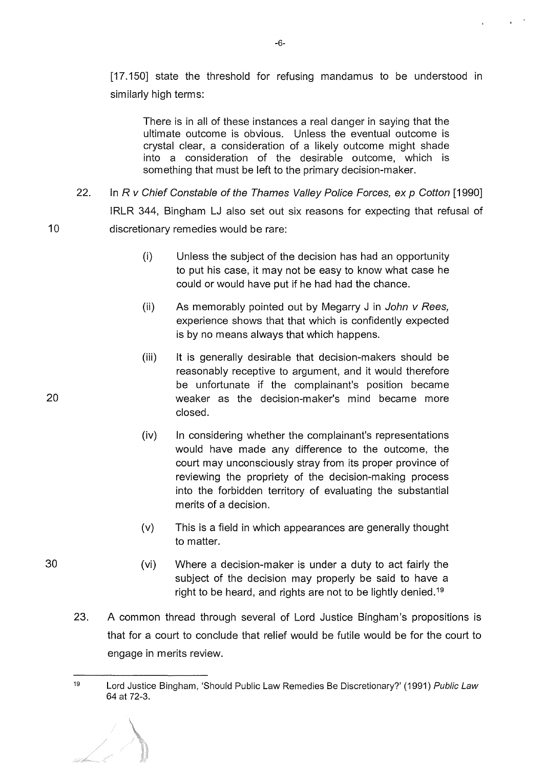[17.150] state the threshold for refusing mandamus to be understood in similarly high terms:

There is in all of these instances a real danger in saying that the ultimate outcome is obvious. Unless the eventual outcome is crystal clear, a consideration of a likely outcome might shade into a consideration of the desirable outcome, which is something that must be left to the primary decision-maker.

- 22. In R v Chief Constable of the Thames Valley Police Forces, ex p Cotton [1990] IRLR 344, Bingham LJ also set out six reasons for expecting that refusal of discretionary remedies would be rare:
	- (i) Unless the subject of the decision has had an opportunity to put his case, it may not be easy to know what case he could or would have put if he had had the chance.
	- (ii) As memorably pointed out by Megarry  $J$  in John  $V$  Rees, experience shows that that which is confidently expected is by no means always that which happens.
	- (iii) lt is generally desirable that decision-makers should be reasonably receptive to argument, and it would therefore be unfortunate if the complainant's position became weaker as the decision-maker's mind became more closed.
	- (iv) In considering whether the complainant's representations would have made any difference to the outcome, the court may unconsciously stray from its proper province of reviewing the propriety of the decision-making process into the forbidden territory of evaluating the substantial merits of a decision.
	- (v) This is a field in which appearances are generally thought to matter.
	- (vi) Where a decision-maker is under a duty to act fairly the subject of the decision may properly be said to have a right to be heard, and rights are not to be lightly denied.<sup>19</sup>
- 23. A common thread through several of Lord Justice Bingham's propositions is that for a court to conclude that relief would be futile would be for the court to engage in merits review.

20

10

<sup>19</sup> Lord Justice Bingham, 'Should Public Law Remedies Be Discretionary?' (1991) Public Law 64 at 72-3.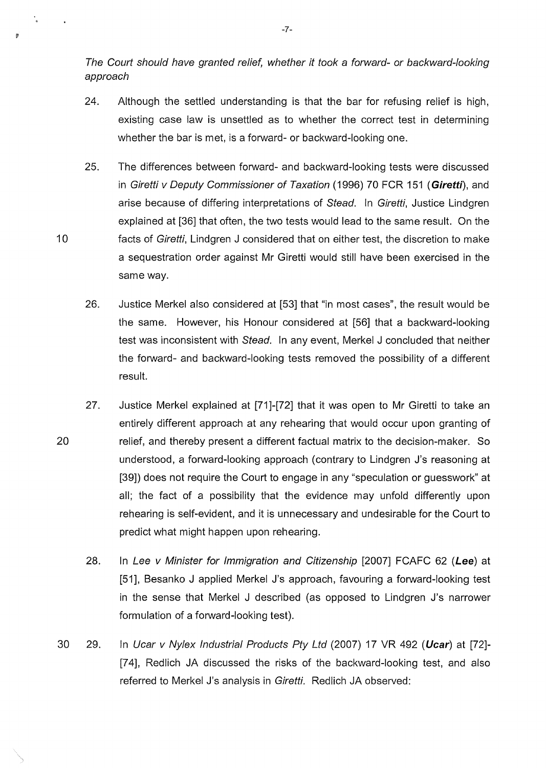The Court should have granted relief, whether it took a forward- or backward-looking approach

- 24. Although the settled understanding is that the bar for refusing relief is high, existing case law is unsettled as to whether the correct test in determining whether the bar is met, is a forward- or backward-looking one.
- 25. The differences between forward- and backward-looking tests were discussed in Giretti v Deputy Commissioner of Taxation ( 1996) 70 FCR 151 ( **Giretti),** and arise because of differing interpretations of Stead. In Giretti, Justice Lindgren explained at [36] that often, the two tests would lead to the same result. On the facts of Giretti, Lindgren J considered that on either test, the discretion to make a sequestration order against Mr Giretti would still have been exercised in the same way.

10

t.

- 26. Justice Merkel also considered at [53] that "in most cases", the result would be the same. However, his Honour considered at [56] that a backward-looking test was inconsistent with Stead. In any event, Merkel J concluded that neither the forward- and backward-looking tests removed the possibility of a different result.
- 20 27. Justice Merkel explained at [71]-[72] that it was open to Mr Giretti to take an entirely different approach at any rehearing that would occur upon granting of relief, and thereby present a different factual matrix to the decision-maker. So understood, a forward-looking approach (contrary to Lindgren J's reasoning at [39]) does not require the Court to engage in any "speculation or guesswork" at all; the fact of a possibility that the evidence may unfold differently upon rehearing is self-evident, and it is unnecessary and undesirable for the Court to predict what might happen upon rehearing.
	- 28. In Lee v Minister for Immigration and Citizenship [2007] FCAFC 62 **(Lee)** at [51], Besanko J applied Merkel J's approach, favouring a forward-looking test in the sense that Merkel J described (as opposed to Lindgren J's narrower formulation of a forward-looking test).
- 30 29. In Ucar v Nylex Industrial Products Pty Ltd (2007) 17 VR 492 ( **Ucar)** at [72]- [74], Redlich JA discussed the risks of the backward-looking test, and also referred to Merkel J's analysis in Giretti. Redlich JA observed:

-7-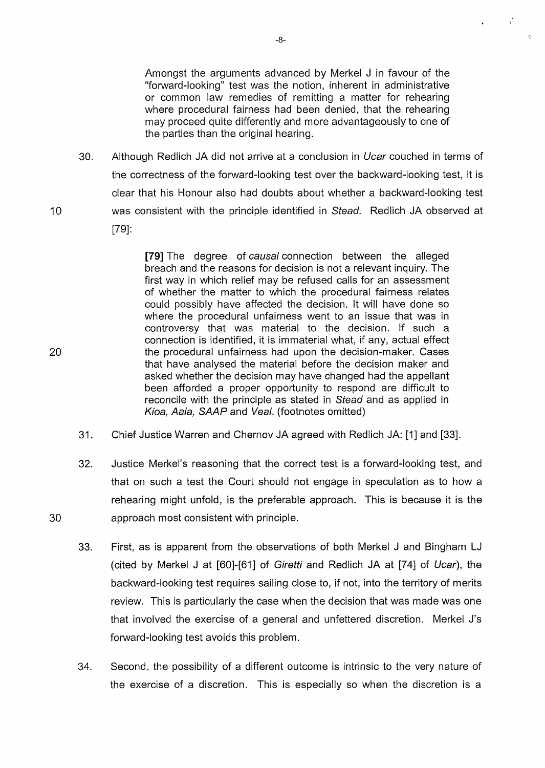Amongst the arguments advanced by Merkel J in favour of the "forward-looking" test was the notion, inherent in administrative or common law remedies of remitting a matter for rehearing where procedural fairness had been denied, that the rehearing may proceed quite differently and more advantageously to one of the parties than the original hearing.

 $\frac{1}{2}$ 

 $\overline{G}$ 

30. Although Redlich JA did not arrive at a conclusion in Ucar couched in terms of the correctness of the forward-looking test over the backward-looking test, it is clear that his Honour also had doubts about whether a backward-looking test was consistent with the principle identified in Stead. Redlich JA observed at [79]:

> [79] The degree of causal connection between the alleged breach and the reasons for decision is not a relevant inquiry. The first way in which relief may be refused calls for an assessment of whether the matter to which the procedural fairness relates could possibly have affected the decision. lt will have done so where the procedural unfairness went to an issue that was in controversy that was material to the decision. If such a connection is identified, it is immaterial what, if any, actual effect the procedural unfairness had upon the decision-maker. Cases that have analysed the material before the decision maker and asked whether the decision may have changed had the appellant been afforded a proper opportunity to respond are difficult to reconcile with the principle as stated in Stead and as applied in Kioa, Aala, SAAP and Veal. (footnotes omitted)

- 31. Chief Justice Warren and Chernov JA agreed with Redlich JA: [1] and [33].
- 32. Justice Merkel's reasoning that the correct test is a forward-looking test, and that on such a test the Court should not engage in speculation as to how a rehearing might unfold, is the preferable approach. This is because it is the approach most consistent with principle.
- 33. First, as is apparent from the observations of both Merkel J and Bingham LJ (cited by Merkel J at  $[60]$ - $[61]$  of Giretti and Redlich JA at  $[74]$  of Ucar), the backward-looking test requires sailing close to, if not, into the territory of merits review. This is particularly the case when the decision that was made was one that involved the exercise of a general and unfettered discretion. Merkel J's forward-looking test avoids this problem.
- 34. Second, the possibility of a different outcome is intrinsic to the very nature of the exercise of a discretion. This is especially so when the discretion is a

20

10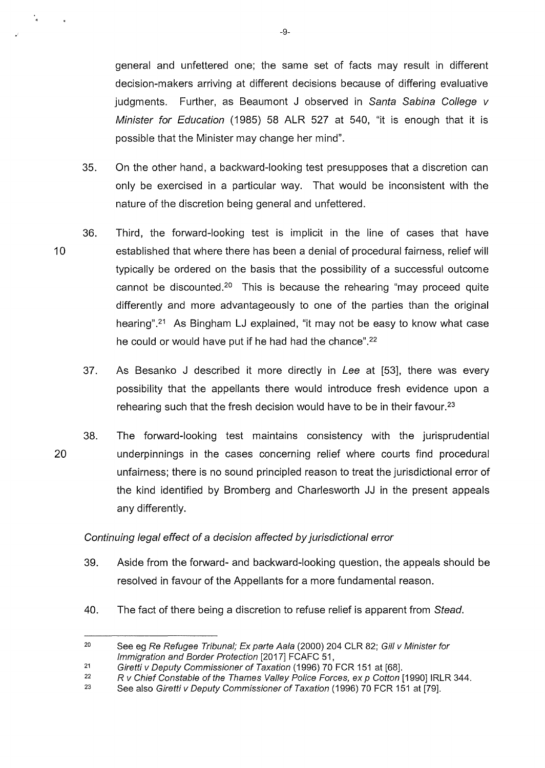general and unfettered one; the same set of facts may result in different decision-makers arriving at different decisions because of differing evaluative judgments. Further, as Beaumont J observed in Santa Sabina College v Minister for Education (1985) 58 ALR 527 at 540, "it is enough that it is possible that the Minister may change her mind".

- 35. On the other hand, a backward-looking test presupposes that a discretion can only be exercised in a particular way. That would be inconsistent with the nature of the discretion being general and unfettered.
- 10 36. Third, the forward-looking test is implicit in the line of cases that have established that where there has been a denial of procedural fairness, relief will typically be ordered on the basis that the possibility of a successful outcome cannot be discounted.20 This is because the rehearing "may proceed quite differently and more advantageously to one of the parties than the original hearing".<sup>21</sup> As Bingham LJ explained, "it may not be easy to know what case he could or would have put if he had had the chance".<sup>22</sup>
	- 37. As Besanko J described it more directly in Lee at [53], there was every possibility that the appellants there would introduce fresh evidence upon a rehearing such that the fresh decision would have to be in their favour.<sup>23</sup>
- 20 38. The forward-looking test maintains consistency with the jurisprudential underpinnings in the cases concerning relief where courts find procedural unfairness; there is no sound principled reason to treat the jurisdictional error of the kind identified by Bromberg and Charlesworth JJ in the present appeals any differently.

#### Continuing legal effect of a decision affected by jurisdictional error

- 39. Aside from the forward- and backward-looking question, the appeals should be resolved in favour of the Appellants for a more fundamental reason.
- 40. The fact of there being a discretion to refuse relief is apparent from Stead.

-9-

۰.

<sup>20</sup>  See eg Re Refugee Tribunal; Ex parte Aala (2000) 204 CLR 82; Gill v Minister for Immigration and Border Protection [2017] FCAFC 51,

<sup>21</sup>  Giretti v Deputy Commissioner of Taxation (1996) 70 FCR 151 at [68].

<sup>22</sup>  R v Chief Constable of the Thames Valley Police Forces, ex p Cotton [1990] IRLR 344.

<sup>23</sup>  See also Giretti v Deputy Commissioner of Taxation (1996) 70 FCR 151 at [79].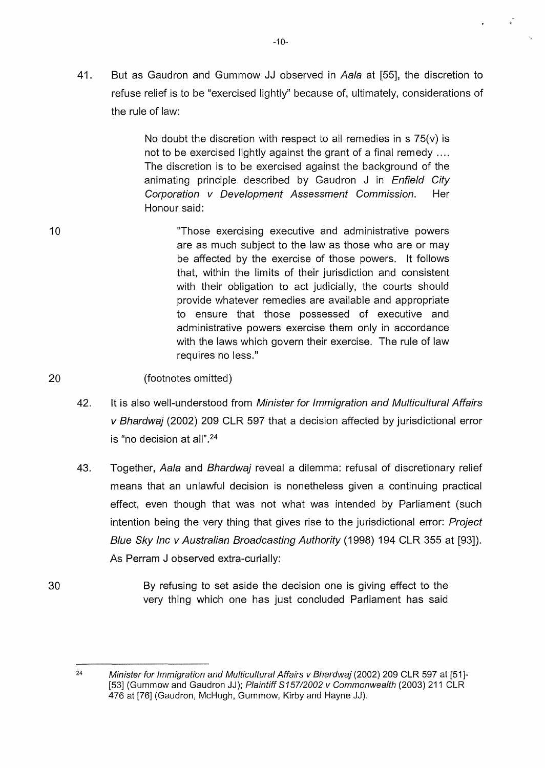41. But as Gaudron and Gummow JJ observed in Aala at [55], the discretion to refuse relief is to be "exercised lightly" because of, ultimately, considerations of the rule of law:

> No doubt the discretion with respect to all remedies in  $s$  75(v) is not to be exercised lightly against the grant of a final remedy .... The discretion is to be exercised against the background of the animating principle described by Gaudron J in Enfield City Corporation v Development Assessment Commission. Her Honour said:

10 "Those exercising executive and administrative powers are as much subject to the law as those who are or may be affected by the exercise of those powers. lt follows that, within the limits of their jurisdiction and consistent with their obligation to act judicially, the courts should provide whatever remedies are available and appropriate to ensure that those possessed of executive and administrative powers exercise them only in accordance with the laws which govern their exercise. The rule of law requires no less."

20 (footnotes omitted)

- 42. It is also well-understood from Minister for Immigration and Multicultural Affairs v Bhardwaj (2002) 209 CLR 597 that a decision affected by jurisdictional error is "no decision at all" . 24
- 43. Together, Aala and Bhardwai reveal a dilemma: refusal of discretionary relief means that an unlawful decision is nonetheless given a continuing practical effect, even though that was not what was intended by Parliament (such intention being the very thing that gives rise to the jurisdictional error: Project Blue Sky Inc v Australian Broadcasting Authority (1998) 194 CLR 355 at [93]). As Perram J observed extra-curially:
- 30 By refusing to set aside the decision one is giving effect to the very thing which one has just concluded Parliament has said

Minister for Immigration and Multicultural Affairs v Bhardwaj (2002) 209 CLR 597 at [51]- [53] (Gummow and Gaudron JJ); Plaintiff \$157/2002 v Commonwealth (2003) 211 CLR 476 at [76] (Gaudron, McHugh, Gummow, Kirby and Hayne JJ).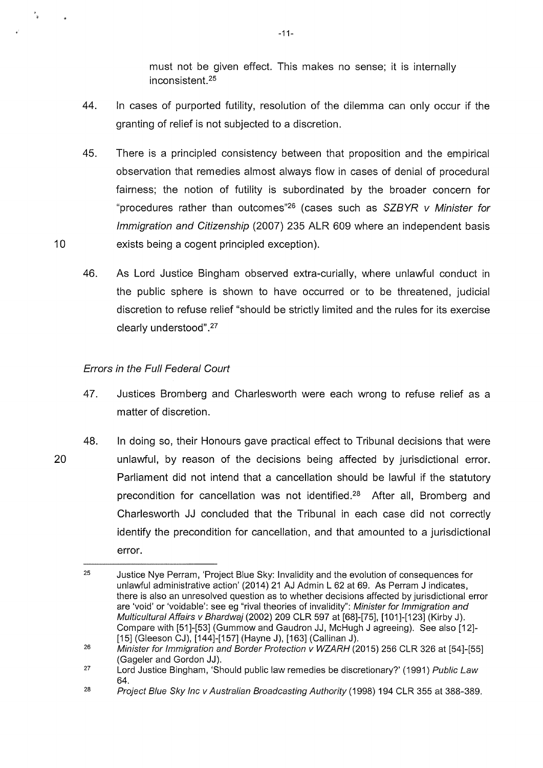must not be given effect. This makes no sense; it is internally inconsistent. 25

- 44. In cases of purported futility, resolution of the dilemma can only occur if the granting of relief is not subjected to a discretion.
- 45. There is a principled consistency between that proposition and the empirical observation that remedies almost always flow in cases of denial of procedural fairness; the notion of futility is subordinated by the broader concern for "procedures rather than outcomes"26 (cases such as SZBYR *v* Minister for Immigration and Citizenship (2007) 235 ALR 609 where an independent basis exists being a cogent principled exception).
- 46. As Lord Justice Bingham observed extra-curially, where unlawful conduct in the public sphere is shown to have occurred or to be threatened, judicial discretion to refuse relief "should be strictly limited and the rules for its exercise clearly understood" .27

### Errors in the Full Federal Court

- 47. Justices Bromberg and Charlesworth were each wrong to refuse relief as a matter of discretion.
- 48. In doing so, their Honours gave practical effect to Tribunal decisions that were unlawful, by reason of the decisions being affected by jurisdictional error. Parliament did not intend that a cancellation should be lawful if the statutory precondition for cancellation was not identified.28 After all, Bromberg and Charlesworth JJ concluded that the Tribunal in each case did not correctly identify the precondition for cancellation, and that amounted to a jurisdictional error.

20

10

 $\frac{1}{3}$ 

<sup>25</sup>  Justice Nye Perram, 'Project Blue Sky: Invalidity and the evolution of consequences for unlawful administrative action' (2014) 21 AJ Admin L 62 at 69. As Perram J indicates, there is also an unresolved question as to whether decisions affected by jurisdictional error are 'void' or 'voidable': see eg "rival theories of invalidity": Minister for Immigration and Multicultural Affairs v Bhardwaj (2002) 209 CLR 597 at [68]-[75], [1 01 ]-[123) (Kirby J). Compare with [51]-[53] (Gummow and Gaudron JJ, McHugh J agreeing). See also [12]-[15] (Gleeson CJ), [144]-[157] (Hayne J), [163] (Callinan J).

<sup>26</sup>  Minister for Immigration and Border Protection v WZARH (2015) 256 CLR 326 at [54]-[55] (Gageler and Gordon JJ).

<sup>27</sup>  Lord Justice Bingham, 'Should public law remedies be discretionary?' (1991) Public Law 64.

<sup>28</sup>  Project Blue Sky Inc v Australian Broadcasting Authority (1998) 194 CLR 355 at 388-389.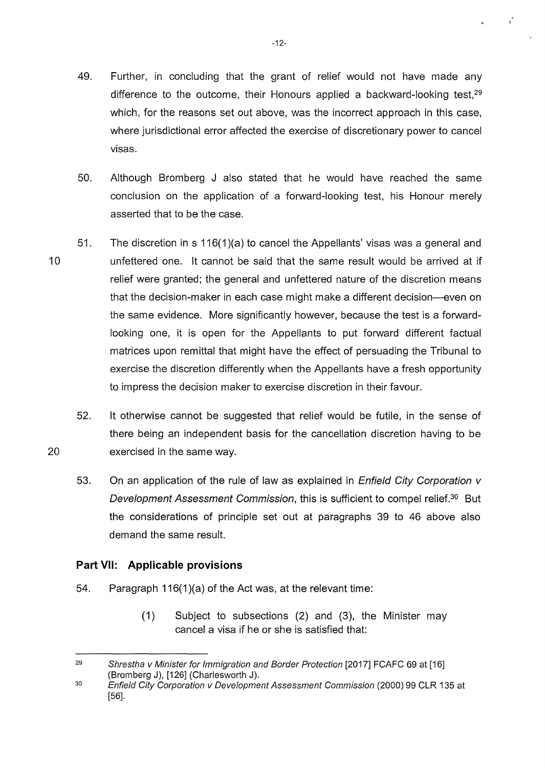- 49. Further, in concluding that the grant of relief would not have made any difference to the outcome, their Honours applied a backward-looking test, $29$ which, for the reasons set out above, was the incorrect approach in this case, where jurisdictional error affected the exercise of discretionary power to cancel visas.
- 50. Although Bromberg J also stated that he would have reached the same conclusion on the application of a forward-looking test, his Honour merely asserted that to be the case.
- 10 51. The discretion in s 116(1 )(a) to cancel the Appellants' visas was a general and unfettered one. lt cannot be said that the same result would be arrived at if relief were granted; the general and unfettered nature of the discretion means that the decision-maker in each case might make a different decision-even on the same evidence. More significantly however, because the test is a forwardlooking one, it is open for the Appellants to put forward different factual matrices upon remittal that might have the effect of persuading the Tribunal to exercise the discretion differently when the Appellants have a fresh opportunity to impress the decision maker to exercise discretion in their favour.
	- 52. lt otherwise cannot be suggested that relief would be futile, in the sense of there being an independent basis for the cancellation discretion having to be exercised in the same way.
	- 53. On an application of the rule of law as explained in *Enfield City Corporation v* Development Assessment Commission, this is sufficient to compel relief.30 But the considerations of principle set out at paragraphs 39 to 46 above also demand the same result.

### **Part** VII: **Applicable provisions**

20

- 54. Paragraph 116(1)(a) of the Act was, at the relevant time:
	- (1) Subject to subsections (2) and (3), the Minister may cancel a visa if he or she is satisfied that:

 $\epsilon^4$ 

<sup>29</sup>  30 Shrestha v Minister for Immigration and Border Protection [2017] FCAFC 69 at [16] (Bromberg J), [126] (Charlesworth J).

Enfield City Corporation v Development Assessment Commission (2000) 99 CLR 135 at [56].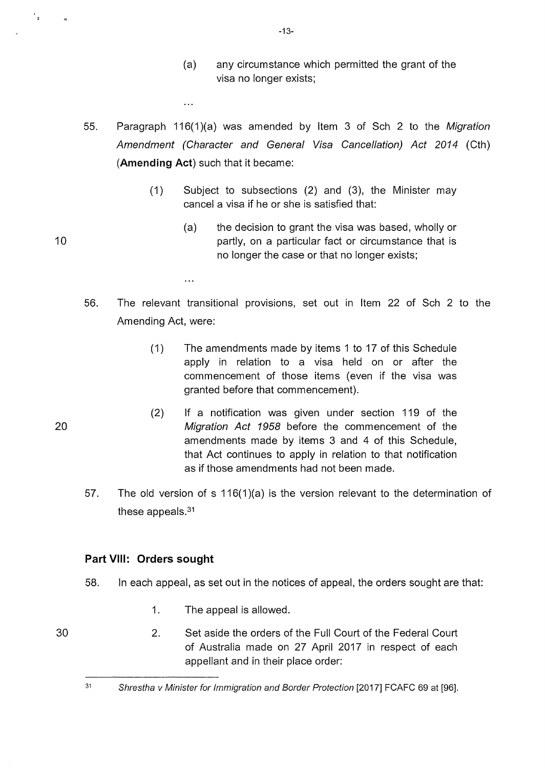- (a) any circumstance which permitted the grant of the visa no longer exists;
- 55. Paragraph 116(1)(a) was amended by Item 3 of Sch 2 to the Migration Amendment (Character and General Visa Cancellation) Act 2014 (Cth) **(Amending Act)** such that it became:

 $\ddotsc$ 

 $\ddotsc$ 

- (1) Subject to subsections (2) and (3), the Minister may cancel a visa if he or she is satisfied that:
	- (a) the decision to grant the visa was based, wholly or partly, on a particular fact or circumstance that is no longer the case or that no longer exists;
- 56. The relevant transitional provisions, set out in Item 22 of Sch 2 to the Amending Act, were:
	- (1) The amendments made by items 1 to 17 of this Schedule apply in relation to a visa held on or after the commencement of those items (even if the visa was granted before that commencement).
	- (2) If a notification was given under section 119 of the Migration Act 1958 before the commencement of the amendments made by items 3 and 4 of this Schedule, that Act continues to apply in relation to that notification as if those amendments had not been made.
- 57. The old version of s 116(1 )(a) is the version relevant to the determination of these appeals.31

### **Part VIII: Orders sought**

- 58. In each appeal, as set out in the notices of appeal, the orders sought are that:
	- 1. The appeal is allowed.
	- 2. Set aside the orders of the Full Court of the Federal Court of Australia made on 27 April 2017 in respect of each appellant and in their place order:

20

30

10

 $\epsilon_{\rm g}$ 

-13-

<sup>31</sup>  Shrestha v Minister for Immigration and Border Protection [2017] FCAFC 69 at [96].